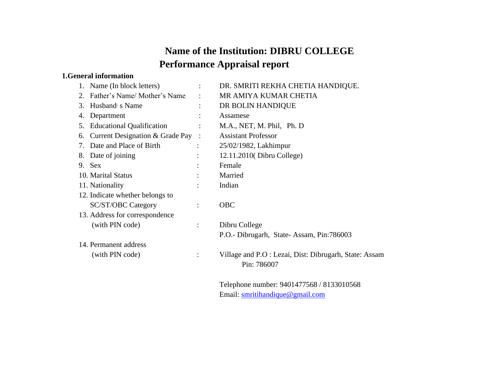# **Name of the Institution: DIBRU COLLEGE Performance Appraisal report**

#### **1.General information**

|    | 1. Name (In block letters)      |                | DR. SMRITI REKHA CHETIA HANDIQUE.                                                           |
|----|---------------------------------|----------------|---------------------------------------------------------------------------------------------|
| 2. | Father's Name/ Mother's Name    |                | MR AMIYA KUMAR CHETIA                                                                       |
| 3. | Husband s Name                  |                | DR BOLIN HANDIQUE                                                                           |
| 4. | Department                      |                | Assamese                                                                                    |
|    | 5. Educational Qualification    |                | M.A., NET, M. Phil, Ph. D                                                                   |
| 6. | Current Designation & Grade Pay |                | <b>Assistant Professor</b>                                                                  |
|    | 7. Date and Place of Birth      |                | 25/02/1982, Lakhimpur                                                                       |
|    | 8. Date of joining              |                | 12.11.2010(Dibru College)                                                                   |
|    | 9. Sex                          |                | Female                                                                                      |
|    | 10. Marital Status              |                | Married                                                                                     |
|    | 11. Nationality                 |                | Indian                                                                                      |
|    | 12. Indicate whether belongs to |                |                                                                                             |
|    | <b>SC/ST/OBC Category</b>       | $\ddot{\cdot}$ | <b>OBC</b>                                                                                  |
|    | 13. Address for correspondence  |                |                                                                                             |
|    | (with PIN code)                 |                | Dibru College                                                                               |
|    |                                 |                | P.O.- Dibrugarh, State-Assam, Pin:786003                                                    |
|    | 14. Permanent address           |                |                                                                                             |
|    | (with PIN code)                 |                | Village and P.O : Lezai, Dist: Dibrugarh, State: Assam<br>Pin: 786007                       |
|    |                                 |                | $T_{\rm{1}}$ , 1, 1, 2, 2, 2, 2, 1, 2, 0.401.477 $\epsilon$ (0.401.00010 $\epsilon$ (0.400) |

Telephone number: 9401477568 / 8133010568 Email: [smritihandique@gmail.com](mailto:smritihandique@gmail.com)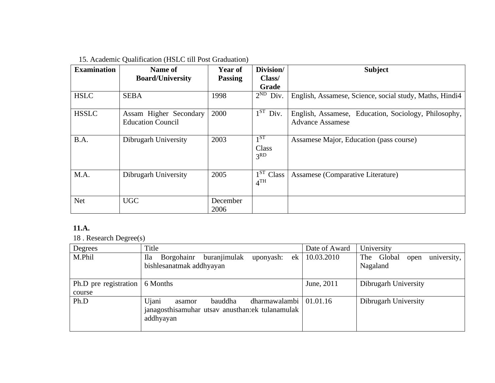## 15. Academic Qualification (HSLC till Post Graduation)

| <b>Examination</b> | Name of                                            | Year of          | Division/                                | <b>Subject</b>                                                                  |
|--------------------|----------------------------------------------------|------------------|------------------------------------------|---------------------------------------------------------------------------------|
|                    | <b>Board/University</b>                            | <b>Passing</b>   | Class/                                   |                                                                                 |
|                    |                                                    |                  | Grade                                    |                                                                                 |
| <b>HSLC</b>        | <b>SEBA</b>                                        | 1998             | $2^{ND}$ Div.                            | English, Assamese, Science, social study, Maths, Hindi <sup>4</sup>             |
| <b>HSSLC</b>       | Assam Higher Secondary<br><b>Education Council</b> | 2000             | $\overline{1^{ST}}$ Div.                 | English, Assamese, Education, Sociology, Philosophy,<br><b>Advance Assamese</b> |
| B.A.               | Dibrugarh University                               | 2003             | $1^{ST}$<br>Class<br>3 <sup>RD</sup>     | Assamese Major, Education (pass course)                                         |
| M.A.               | Dibrugarh University                               | 2005             | 1 <sup>ST</sup> Class<br>4 <sup>TH</sup> | Assamese (Comparative Literature)                                               |
| <b>Net</b>         | <b>UGC</b>                                         | December<br>2006 |                                          |                                                                                 |

### **11.A.**

18 . Research Degree(s)

| Degrees                         | Title                                                                                                          | Date of Award | University                                    |
|---------------------------------|----------------------------------------------------------------------------------------------------------------|---------------|-----------------------------------------------|
| M.Phil                          | buranjimulak<br><b>Ila</b><br>Borgohainr<br>ek<br>uponyash:<br>bishlesanatmak addhyayan                        | 10.03.2010    | The Global<br>university,<br>open<br>Nagaland |
| Ph.D pre registration<br>course | 6 Months                                                                                                       | June, 2011    | Dibrugarh University                          |
| Ph.D                            | Ujani<br>dharmawalambi  <br>bauddha<br>asamor<br>janagosthisamuhar utsav anusthan: ek tulanamulak<br>addhyayan | 01.01.16      | Dibrugarh University                          |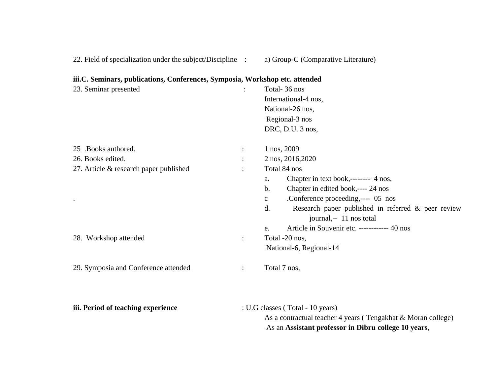|  |  | 22. Field of specialization under the subject/Discipline |  |  |  |  |
|--|--|----------------------------------------------------------|--|--|--|--|
|  |  |                                                          |  |  |  |  |

### 23. Seminar presented : Total- 36 nos International-4 nos, National-26 nos, Regional-3 nos DRC, D.U. 3 nos, 25 .Books authored. : 1 nos, 2009 26. Books edited. : 2 nos, 2016,2020 27. Article & research paper published : Total 84 nos a. Chapter in text book,-------- 4 nos, b. Chapter in edited book,---- 24 nos . c .Conference proceeding,---- 05 nos d. Research paper published in referred & peer review journal,-- 11 nos total e. Article in Souvenir etc. ------------ 40 nos

#### **iii.C. Seminars, publications, Conferences, Symposia, Workshop etc. attended**

28. Workshop attended : Total -20 nos,

29. Symposia and Conference attended : Total 7 nos,

| iii. Period of teaching experience | : U.G classes (Total - 10 years)                             |
|------------------------------------|--------------------------------------------------------------|
|                                    | As a contractual teacher 4 years (Tengakhat & Moran college) |
|                                    | As an Assistant professor in Dibru college 10 years,         |

National-6, Regional-14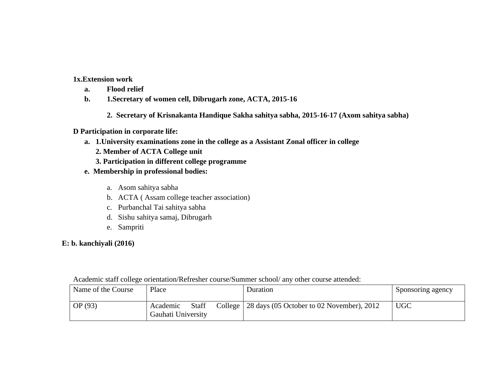**1x.Extension work**

- **a. Flood relief**
- **b. 1.Secretary of women cell, Dibrugarh zone, ACTA, 2015-16**
	- **2. Secretary of Krisnakanta Handique Sakha sahitya sabha, 2015-16-17 (Axom sahitya sabha)**

#### **D Participation in corporate life:**

- **a. 1.University examinations zone in the college as a Assistant Zonal officer in college** 
	- **2. Member of ACTA College unit**
	- **3. Participation in different college programme**
- **e. Membership in professional bodies:**
	- a. Asom sahitya sabha
	- b. ACTA ( Assam college teacher association)
	- c. Purbanchal Tai sahitya sabha
	- d. Sishu sahitya samaj, Dibrugarh
	- e. Sampriti

#### **E: b. kanchiyali (2016)**

Academic staff college orientation/Refresher course/Summer school/ any other course attended:

| Name of the Course | Place                                          | Duration                                            | Sponsoring agency |
|--------------------|------------------------------------------------|-----------------------------------------------------|-------------------|
| OP(93)             | <b>Staff</b><br>Academic<br>Gauhati University | College   28 days (05 October to 02 November), 2012 | <b>UGC</b>        |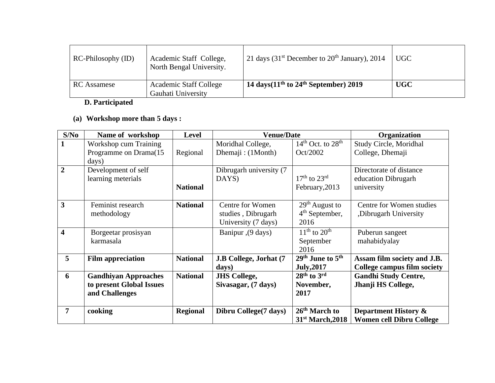| RC-Philosophy (ID) | Academic Staff College,<br>North Bengal University. | <sup>1</sup> 21 days (31 <sup>st</sup> December to 20 <sup>th</sup> January), 2014 | UGC        |
|--------------------|-----------------------------------------------------|------------------------------------------------------------------------------------|------------|
| <b>RC</b> Assamese | <b>Academic Staff College</b><br>Gauhati University | 14 days $(11th$ to 24 <sup>th</sup> September) 2019                                | <b>UGC</b> |

### **D. Participated**

## **(a) Workshop more than 5 days :**

| S/No                    | Name of workshop                                                          | <b>Level</b>    | <b>Venue/Date</b>                                             |                                                               | Organization                                                       |
|-------------------------|---------------------------------------------------------------------------|-----------------|---------------------------------------------------------------|---------------------------------------------------------------|--------------------------------------------------------------------|
|                         | Workshop cum Training                                                     |                 | Moridhal College,                                             | $14th$ Oct. to $28th$                                         | Study Circle, Moridhal                                             |
|                         | Programme on Drama(15                                                     | Regional        | Dhemaji: (1Month)                                             | Oct/2002                                                      | College, Dhemaji                                                   |
|                         | days)                                                                     |                 |                                                               |                                                               |                                                                    |
| $\overline{2}$          | Development of self                                                       |                 | Dibrugarh university (7                                       |                                                               | Directorate of distance                                            |
|                         | learning meterials                                                        |                 | DAYS)                                                         | $17th$ to $23rd$                                              | education Dibrugarh                                                |
|                         |                                                                           | <b>National</b> |                                                               | February, 2013                                                | university                                                         |
| 3                       | Feminist research<br>methodology                                          | <b>National</b> | Centre for Women<br>studies, Dibrugarh<br>University (7 days) | $29th$ August to<br>$4th$ September,<br>2016                  | Centre for Women studies<br>, Dibrugarh University                 |
| $\overline{\mathbf{4}}$ | Borgeetar prosisyan<br>karmasala                                          |                 | Banipur ,(9 days)                                             | $11th$ to $20th$<br>September<br>2016                         | Puberun sangeet<br>mahabidyalay                                    |
| 5                       | <b>Film appreciation</b>                                                  | <b>National</b> | J.B College, Jorhat (7<br>days)                               | 29 <sup>th</sup> June to 5 <sup>th</sup><br><b>July, 2017</b> | Assam film society and J.B.<br><b>College campus film society</b>  |
| 6                       | <b>Gandhiyan Approaches</b><br>to present Global Issues<br>and Challenges | <b>National</b> | <b>JHS College,</b><br>Sivasagar, (7 days)                    | $28th$ to $3rd$<br>November,<br>2017                          | <b>Gandhi Study Centre,</b><br>Jhanji HS College,                  |
| 7                       | cooking                                                                   | <b>Regional</b> | Dibru College(7 days)                                         | 26 <sup>th</sup> March to<br>31 <sup>st</sup> March, 2018     | <b>Department History &amp;</b><br><b>Women cell Dibru College</b> |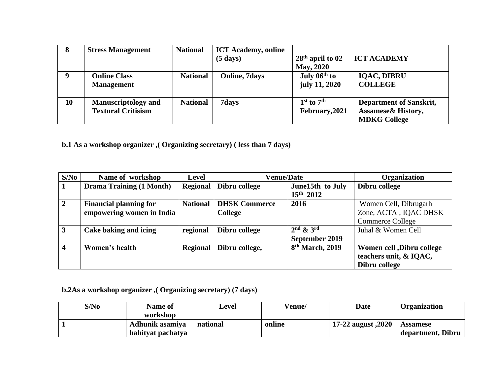| 8  | <b>Stress Management</b>   | <b>National</b> | <b>ICT Academy, online</b> |                    |                                |
|----|----------------------------|-----------------|----------------------------|--------------------|--------------------------------|
|    |                            |                 | $(5 \text{ days})$         | $28th$ april to 02 | <b>ICT ACADEMY</b>             |
|    |                            |                 |                            | <b>May, 2020</b>   |                                |
|    | <b>Online Class</b>        | <b>National</b> | <b>Online, 7days</b>       | July $06th$ to     | <b>IQAC, DIBRU</b>             |
|    | <b>Management</b>          |                 |                            | july 11, 2020      | <b>COLLEGE</b>                 |
| 10 | <b>Manuscriptology and</b> | <b>National</b> | 7days                      | $1st$ to $7th$     | <b>Department of Sanskrit,</b> |
|    |                            |                 |                            |                    |                                |
|    | <b>Textural Critisism</b>  |                 |                            | February, 2021     | <b>Assamese&amp; History,</b>  |
|    |                            |                 |                            |                    | <b>MDKG College</b>            |

**b.1 As a workshop organizer ,( Organizing secretary) ( less than 7 days)**

| S/No                    | Name of workshop                | <b>Level</b>    | <b>Venue/Date</b>    |                             | <b>Organization</b>        |
|-------------------------|---------------------------------|-----------------|----------------------|-----------------------------|----------------------------|
|                         | <b>Drama Training (1 Month)</b> | <b>Regional</b> | Dibru college        | June15th to July            | Dibru college              |
|                         |                                 |                 |                      | $15^{th}$ 2012              |                            |
| $\overline{2}$          | <b>Financial planning for</b>   | <b>National</b> | <b>DHSK Commerce</b> | 2016                        | Women Cell, Dibrugarh      |
|                         | empowering women in India       |                 | College              |                             | Zone, ACTA, IQAC DHSK      |
|                         |                                 |                 |                      |                             | Commerce College           |
| $\mathbf{3}$            | Cake baking and icing           | regional        | Dibru college        | $2nd$ & $3rd$               | Juhal & Women Cell         |
|                         |                                 |                 |                      | September 2019              |                            |
| $\overline{\mathbf{4}}$ | Women's health                  | <b>Regional</b> | Dibru college,       | 8 <sup>th</sup> March, 2019 | Women cell , Dibru college |
|                         |                                 |                 |                      |                             | teachers unit, & IQAC,     |
|                         |                                 |                 |                      |                             | Dibru college              |

## **b.2As a workshop organizer ,( Organizing secretary) (7 days)**

| S/No | <b>Name of</b>    | Level    | Venue/ | Date               | <b>Organization</b> |
|------|-------------------|----------|--------|--------------------|---------------------|
|      | workshop          |          |        |                    |                     |
|      | Adhunik asamiya   | national | online | 2020, 17-22 august | <b>Assamese</b>     |
|      | hahityat pachatya |          |        |                    | department, Dibru   |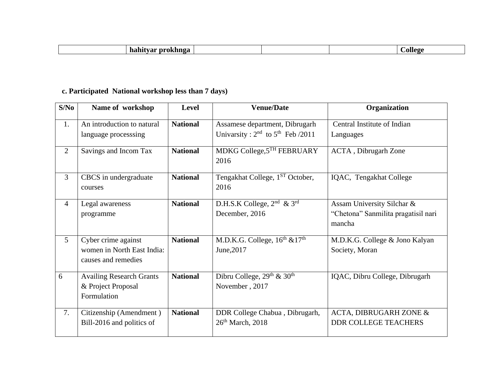| -- |  |  |
|----|--|--|
|    |  |  |

## **c. Participated National workshop less than 7 days)**

| S/No           | Name of workshop                                                         | <b>Level</b>    | <b>Venue/Date</b>                                                            | Organization                                                                |
|----------------|--------------------------------------------------------------------------|-----------------|------------------------------------------------------------------------------|-----------------------------------------------------------------------------|
| 1.             | An introduction to natural<br>language processing                        | <b>National</b> | Assamese department, Dibrugarh<br>Univarsity: $2^{nd}$ to $5^{th}$ Feb /2011 | Central Institute of Indian<br>Languages                                    |
| $\overline{2}$ | Savings and Incom Tax                                                    | <b>National</b> | MDKG College, 5TH FEBRUARY<br>2016                                           | <b>ACTA</b> , Dibrugarh Zone                                                |
| 3              | CBCS in undergraduate<br>courses                                         | <b>National</b> | Tengakhat College, 1 <sup>ST</sup> October,<br>2016                          | IQAC, Tengakhat College                                                     |
| $\overline{4}$ | Legal awareness<br>programme                                             | <b>National</b> | D.H.S.K College, $2^{nd}$ & $3^{rd}$<br>December, 2016                       | Assam University Silchar &<br>"Chetona" Sanmilita pragatisil nari<br>mancha |
| 5              | Cyber crime against<br>women in North East India:<br>causes and remedies | <b>National</b> | M.D.K.G. College, $16^{th}$ & $17^{th}$<br>June, 2017                        | M.D.K.G. College & Jono Kalyan<br>Society, Moran                            |
| 6              | <b>Availing Research Grants</b><br>& Project Proposal<br>Formulation     | <b>National</b> | Dibru College, $29^{th}$ & $30^{th}$<br>November, 2017                       | IQAC, Dibru College, Dibrugarh                                              |
| 7.             | Citizenship (Amendment)<br>Bill-2016 and politics of                     | <b>National</b> | DDR College Chabua, Dibrugarh,<br>$26th$ March, 2018                         | ACTA, DIBRUGARH ZONE &<br><b>DDR COLLEGE TEACHERS</b>                       |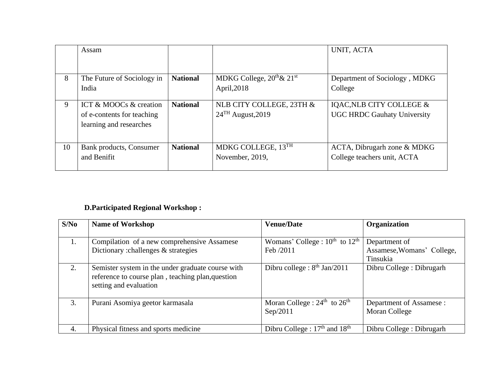|    | Assam                                                                           |                 |                                                             | UNIT, ACTA                                                     |
|----|---------------------------------------------------------------------------------|-----------------|-------------------------------------------------------------|----------------------------------------------------------------|
| 8  | The Future of Sociology in<br>India                                             | <b>National</b> | MDKG College, $20^{th}$ & $21^{st}$<br>April, 2018          | Department of Sociology, MDKG<br>College                       |
| 9  | ICT & MOOCs & creation<br>of e-contents for teaching<br>learning and researches | <b>National</b> | NLB CITY COLLEGE, 23TH &<br>$24$ <sup>TH</sup> August, 2019 | IQAC, NLB CITY COLLEGE &<br><b>UGC HRDC Gauhaty University</b> |
| 10 | Bank products, Consumer<br>and Benifit                                          | <b>National</b> | MDKG COLLEGE, 13TH<br>November, 2019,                       | ACTA, Dibrugarh zone & MDKG<br>College teachers unit, ACTA     |

## **D.Participated Regional Workshop :**

| S/No | <b>Name of Workshop</b>                                                                                                          | <b>Venue/Date</b>                        | Organization               |
|------|----------------------------------------------------------------------------------------------------------------------------------|------------------------------------------|----------------------------|
|      |                                                                                                                                  |                                          |                            |
| 1.   | Compilation of a new comprehensive Assamese                                                                                      | Womans' College : $10^{th}$ to $12^{th}$ | Department of              |
|      | Dictionary : challenges $\&$ strategies                                                                                          | Feb /2011                                | Assamese, Womans' College, |
|      |                                                                                                                                  |                                          | Tinsukia                   |
| 2.   | Semister system in the under graduate course with<br>reference to course plan, teaching plan, question<br>setting and evaluation | Dibru college : $8th$ Jan/2011           | Dibru College: Dibrugarh   |
| 3.   | Purani Asomiya geetor karmasala                                                                                                  | Moran College : $24th$ to $26th$         | Department of Assamese :   |
|      |                                                                                                                                  | Sep/2011                                 | Moran College              |
| 4.   | Physical fitness and sports medicine                                                                                             | Dibru College : $17th$ and $18th$        | Dibru College: Dibrugarh   |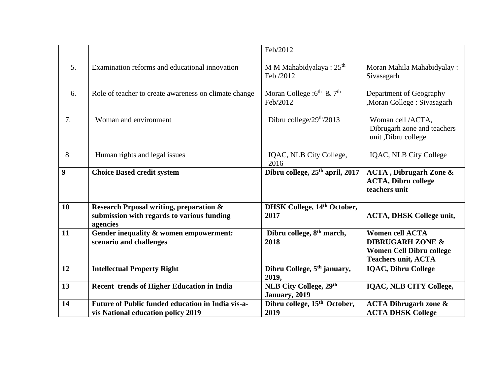|                  |                                                                                                   | Feb/2012                                         |                                                                                                                        |
|------------------|---------------------------------------------------------------------------------------------------|--------------------------------------------------|------------------------------------------------------------------------------------------------------------------------|
| 5.               | Examination reforms and educational innovation                                                    | M M Mahabidyalaya: 25 <sup>th</sup><br>Feb /2012 | Moran Mahila Mahabidyalay:<br>Sivasagarh                                                                               |
| 6.               | Role of teacher to create awareness on climate change                                             | Moran College : $6^{th}$ & $7^{th}$<br>Feb/2012  | Department of Geography<br>, Moran College: Sivasagarh                                                                 |
| 7.               | Woman and environment                                                                             | Dibru college/29 <sup>th</sup> /2013             | Woman cell /ACTA,<br>Dibrugarh zone and teachers<br>unit ,Dibru college                                                |
| 8                | Human rights and legal issues                                                                     | IQAC, NLB City College,<br>2016                  | <b>IQAC, NLB City College</b>                                                                                          |
| $\boldsymbol{9}$ | <b>Choice Based credit system</b>                                                                 | Dibru college, 25 <sup>th</sup> april, 2017      | <b>ACTA</b> , Dibrugarh Zone &<br><b>ACTA, Dibru college</b><br>teachers unit                                          |
| 10               | Research Prposal writing, preparation &<br>submission with regards to various funding<br>agencies | DHSK College, 14th October,<br>2017              | <b>ACTA, DHSK College unit,</b>                                                                                        |
| 11               |                                                                                                   |                                                  |                                                                                                                        |
|                  | Gender inequality & women empowerment:<br>scenario and challenges                                 | Dibru college, 8 <sup>th</sup> march,<br>2018    | <b>Women cell ACTA</b><br><b>DIBRUGARH ZONE &amp;</b><br><b>Women Cell Dibru college</b><br><b>Teachers unit, ACTA</b> |
| 12               | <b>Intellectual Property Right</b>                                                                | Dibru College, 5 <sup>th</sup> january,<br>2019, | <b>IQAC, Dibru College</b>                                                                                             |
| 13               | <b>Recent trends of Higher Education in India</b>                                                 | <b>NLB City College, 29th</b><br>January, 2019   | <b>IQAC, NLB CITY College,</b>                                                                                         |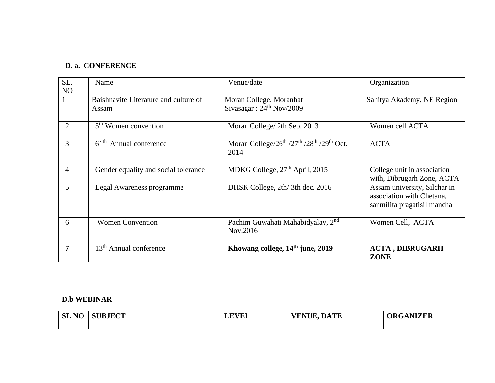### **D. a. CONFERENCE**

| SL.<br>N <sub>O</sub> | Name                                           | Venue/date                                                                                  | Organization                                                                             |
|-----------------------|------------------------------------------------|---------------------------------------------------------------------------------------------|------------------------------------------------------------------------------------------|
|                       | Baishnavite Literature and culture of<br>Assam | Moran College, Moranhat<br>Sivasagar: $24th Nov/2009$                                       | Sahitya Akademy, NE Region                                                               |
| 2                     | 5 <sup>th</sup> Women convention               | Moran College/ 2th Sep. 2013                                                                | Women cell ACTA                                                                          |
| 3                     | $61th$ Annual conference                       | Moran College/ $26^{th}$ /27 <sup>th</sup> /28 <sup>th</sup> /29 <sup>th</sup> Oct.<br>2014 | <b>ACTA</b>                                                                              |
| $\overline{4}$        | Gender equality and social tolerance           | MDKG College, $27th$ April, 2015                                                            | College unit in association<br>with, Dibrugarh Zone, ACTA                                |
| 5                     | Legal Awareness programme                      | DHSK College, 2th/3th dec. 2016                                                             | Assam university, Silchar in<br>association with Chetana,<br>sanmilita pragatisil mancha |
| 6                     | <b>Women Convention</b>                        | Pachim Guwahati Mahabidyalay, 2 <sup>nd</sup><br>Nov.2016                                   | Women Cell, ACTA                                                                         |
| 7                     | 13 <sup>th</sup> Annual conference             | Khowang college, 14 <sup>th</sup> june, 2019                                                | <b>ACTA, DIBRUGARH</b><br><b>ZONE</b>                                                    |

#### **D.b WEBINAR**

| NO<br><b>SL</b> | <b>SUBJECT</b> | <b>EVEL</b><br>LĽ | <b>VENUE, DATE</b> | <b>ORGANIZER</b> |
|-----------------|----------------|-------------------|--------------------|------------------|
|                 |                |                   |                    |                  |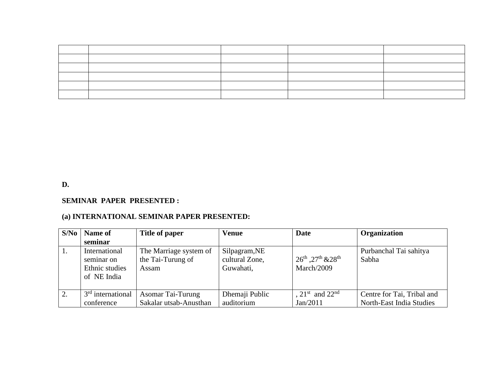**D.** 

#### **SEMINAR PAPER PRESENTED :**

### **(a) INTERNATIONAL SEMINAR PAPER PRESENTED:**

| S/No | Name of                                                      | Title of paper                                       | <b>Venue</b>                                 | Date                                            | Organization                    |
|------|--------------------------------------------------------------|------------------------------------------------------|----------------------------------------------|-------------------------------------------------|---------------------------------|
|      | seminar                                                      |                                                      |                                              |                                                 |                                 |
| -1.  | International<br>seminar on<br>Ethnic studies<br>of NE India | The Marriage system of<br>the Tai-Turung of<br>Assam | Silpagram, NE<br>cultural Zone,<br>Guwahati, | $26^{th}$ , $27^{th}$ & $28^{th}$<br>March/2009 | Purbanchal Tai sahitya<br>Sabha |
| 2.   | $3rd$ international                                          | <b>Asomar Tai-Turung</b>                             | Dhemaji Public                               | , 21 <sup>st</sup> and 22 <sup>nd</sup>         | Centre for Tai, Tribal and      |
|      | conference                                                   | Sakalar utsab-Anusthan                               | auditorium                                   | Jan/2011                                        | North-East India Studies        |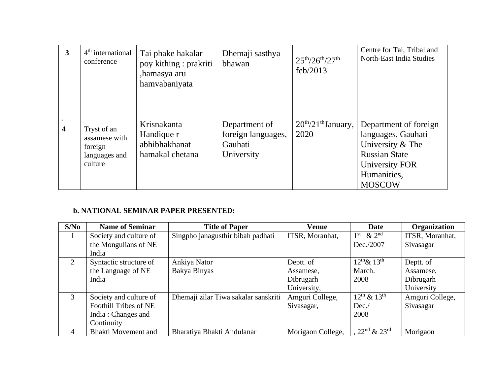| $\overline{\mathbf{3}}$ | $4th$ international<br>conference                                   | Tai phake hakalar<br>poy kithing : prakriti<br>,hamasya aru<br>hamvabaniyata | Dhemaji sasthya<br>bhawan                                    | $25^{th}/26^{th}/27^{th}$<br>feb/2013 | Centre for Tai, Tribal and<br>North-East India Studies                                                                                    |
|-------------------------|---------------------------------------------------------------------|------------------------------------------------------------------------------|--------------------------------------------------------------|---------------------------------------|-------------------------------------------------------------------------------------------------------------------------------------------|
| $\overline{\mathbf{4}}$ | Tryst of an<br>assamese with<br>foreign<br>languages and<br>culture | Krisnakanta<br>Handique r<br>abhibhakhanat<br>hamakal chetana                | Department of<br>foreign languages,<br>Gauhati<br>University | $20th/21th$ January,<br>2020          | Department of foreign<br>languages, Gauhati<br>University & The<br><b>Russian State</b><br>University FOR<br>Humanities,<br><b>MOSCOW</b> |

### **b. NATIONAL SEMINAR PAPER PRESENTED:**

| S/No | <b>Name of Seminar</b>     | <b>Title of Paper</b>                | <b>Venue</b>      | <b>Date</b>                             | Organization    |
|------|----------------------------|--------------------------------------|-------------------|-----------------------------------------|-----------------|
|      | Society and culture of     | Singpho janagusthir bibah padhati    | ITSR, Moranhat,   | $\&$ 2 <sup>nd</sup><br>1 <sup>st</sup> | ITSR, Moranhat, |
|      | the Mongulians of NE       |                                      |                   | Dec./2007                               | Sivasagar       |
|      | India                      |                                      |                   |                                         |                 |
| 2    | Syntactic structure of     | Ankiya Nator                         | Deptt. of         | $12^{th}$ & $13^{th}$                   | Deptt. of       |
|      | the Language of NE         | Bakya Binyas                         | Assamese,         | March.                                  | Assamese,       |
|      | India                      |                                      | Dibrugarh         | 2008                                    | Dibrugarh       |
|      |                            |                                      | University,       |                                         | University      |
| 3    | Society and culture of     | Dhemaji zilar Tiwa sakalar sanskriti | Amguri College,   | $12^{th}$ & $13^{th}$                   | Amguri College, |
|      | Foothill Tribes of NE      |                                      | Sivasagar,        | Dec.                                    | Sivasagar       |
|      | India: Changes and         |                                      |                   | 2008                                    |                 |
|      | Continuity                 |                                      |                   |                                         |                 |
| 4    | <b>Bhakti Movement and</b> | Bharatiya Bhakti Andulanar           | Morigaon College, | $22^{nd}$ & $23^{rd}$                   | Morigaon        |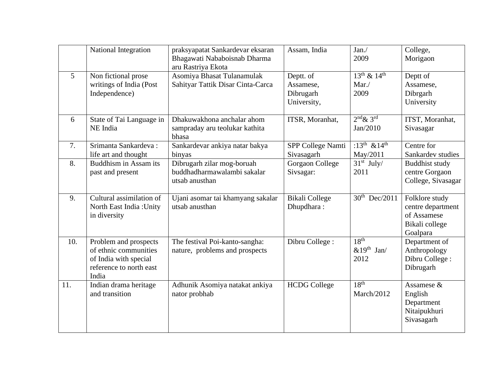|                | <b>National Integration</b>                                                                                 | praksyapatat Sankardevar eksaran<br>Bhagawati Nababoisnab Dharma<br>aru Rastriya Ekota | Assam, India                                       | Jan.<br>2009                                       | College,<br>Morigaon                                                             |
|----------------|-------------------------------------------------------------------------------------------------------------|----------------------------------------------------------------------------------------|----------------------------------------------------|----------------------------------------------------|----------------------------------------------------------------------------------|
| $\overline{5}$ | Non fictional prose<br>writings of India (Post<br>Independence)                                             | Asomiya Bhasat Tulanamulak<br>Sahityar Tattik Disar Cinta-Carca                        | Deptt. of<br>Assamese,<br>Dibrugarh<br>University, | $13^{th}$ & $14^{th}$<br>Mar/<br>2009              | Deptt of<br>Assamese,<br>Dibrgarh<br>University                                  |
| 6              | State of Tai Language in<br>NE India                                                                        | Dhakuwakhona anchalar ahom<br>sampraday aru teolukar kathita<br>bhasa                  | ITSR, Moranhat,                                    | $2nd \& 3rd$<br>Jan/2010                           | ITST, Moranhat,<br>Sivasagar                                                     |
| 7.             | Srimanta Sankardeva:<br>life art and thought                                                                | Sankardevar ankiya natar bakya<br>binyas                                               | SPP College Namti<br>Sivasagarh                    | $\sqrt{13^{th}}$ & 14 <sup>th</sup><br>May/2011    | Centre for<br>Sankardev studies                                                  |
| 8.             | Buddhism in Assam its<br>past and present                                                                   | Dibrugarh zilar mog-boruah<br>buddhadharmawalambi sakalar<br>utsab anusthan            | Gorgaon College<br>Sivsagar:                       | $31st$ July/<br>2011                               | <b>Buddhist study</b><br>centre Gorgaon<br>College, Sivasagar                    |
| 9.             | Cultural assimilation of<br>North East India: Unity<br>in diversity                                         | Ujani asomar tai khamyang sakalar<br>utsab anusthan                                    | <b>Bikali College</b><br>Dhupdhara:                | $30^{th}$ Dec/2011                                 | Folklore study<br>centre department<br>of Assamese<br>Bikali college<br>Goalpara |
| 10.            | Problem and prospects<br>of ethnic communities<br>of India with special<br>reference to north east<br>India | The festival Poi-kanto-sangha:<br>nature, problems and prospects                       | Dibru College:                                     | 18 <sup>th</sup><br>$&19^{\text{th}}$ Jan/<br>2012 | Department of<br>Anthropology<br>Dibru College:<br>Dibrugarh                     |
| 11.            | Indian drama heritage<br>and transition                                                                     | Adhunik Asomiya natakat ankiya<br>nator probhab                                        | <b>HCDG College</b>                                | 18 <sup>th</sup><br>March/2012                     | Assamese &<br>English<br>Department<br>Nitaipukhuri<br>Sivasagarh                |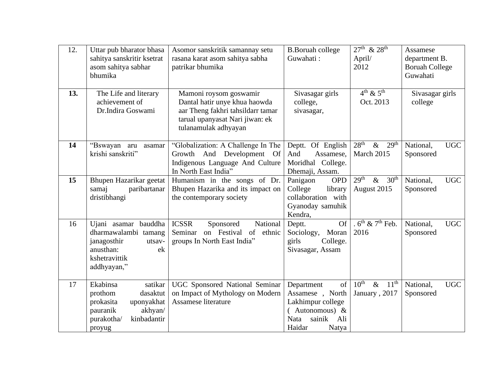| 12.<br>13. | Uttar pub bharator bhasa<br>sahitya sanskritir ksetrat<br>asom sahitya sabhar<br>bhumika<br>The Life and literary                   | Asomor sanskritik samannay setu<br>rasana karat asom sahitya sabha<br>patrikar bhumika<br>Mamoni roysom goswamir              | <b>B.Boruah college</b><br>Guwahati:<br>Sivasagar girls                                                                         | $27^{th}$ & $28^{th}$<br>April/<br>2012<br>$4th \& 5th$       | Assamese<br>department B.<br><b>Boruah College</b><br>Guwahati<br>Sivasagar girls |
|------------|-------------------------------------------------------------------------------------------------------------------------------------|-------------------------------------------------------------------------------------------------------------------------------|---------------------------------------------------------------------------------------------------------------------------------|---------------------------------------------------------------|-----------------------------------------------------------------------------------|
|            | achievement of<br>Dr.Indira Goswami                                                                                                 | Dantal hatir unye khua haowda<br>aar Theng fakhri tahsildarr tamar<br>tarual upanyasat Nari jiwan: ek<br>tulanamulak adhyayan | college,<br>sivasagar,                                                                                                          | Oct. 2013                                                     | college                                                                           |
| 14         | "Bswayan<br>aru<br>asamar<br>krishi sanskriti"                                                                                      | "Globalization: A Challenge In The<br>Growth And Development Of<br>Indigenous Language And Culture<br>In North East India"    | Deptt. Of English<br>And<br>Assamese,<br>Moridhal College.<br>Dhemaji, Assam.                                                   | 28 <sup>th</sup><br>29 <sup>th</sup><br>$\&$<br>March 2015    | <b>UGC</b><br>National,<br>Sponsored                                              |
| 15         | Bhupen Hazarikar geetat<br>paribartanar<br>samaj<br>dristibhangi                                                                    | Humanism in the songs of Dr.<br>Bhupen Hazarika and its impact on<br>the contemporary society                                 | Panigaon<br><b>OPD</b><br>College<br>library<br>collaboration with<br>Gyanoday samuhik<br>Kendra,                               | 29 <sup>th</sup><br>$\&$<br>30 <sup>th</sup><br>August 2015   | <b>UGC</b><br>National,<br>Sponsored                                              |
| 16         | Ujani asamar bauddha<br>dharmawalambi tamang<br>janagosthir<br>utsav-<br>anusthan:<br>ek<br>kshetravittik<br>addhyayan,"            | <b>ICSSR</b><br>Sponsored<br>National<br>on Festival<br>Seminar<br>of ethnic<br>groups In North East India"                   | <b>Of</b><br>Deptt.<br>Moran<br>Sociology,<br>girls<br>College.<br>Sivasagar, Assam                                             | . $6^{th}$ & $7^{th}$ Feb.<br>2016                            | National,<br><b>UGC</b><br>Sponsored                                              |
| 17         | Ekabinsa<br>satikar<br>prothom<br>dasaktut<br>prokasita<br>uponyakhat<br>akhyan/<br>pauranik<br>kinbadantir<br>purakotha/<br>proyug | UGC Sponsored National Seminar<br>on Impact of Mythology on Modern<br>Assamese literature                                     | of<br>Department<br>Assamese, North<br>Lakhimpur college<br>Autonomous) $\&$<br><b>Nata</b><br>sainik<br>Ali<br>Haidar<br>Natya | $10^{\text{th}}$<br>$11^{\text{th}}$<br>$\&$<br>January, 2017 | <b>UGC</b><br>National,<br>Sponsored                                              |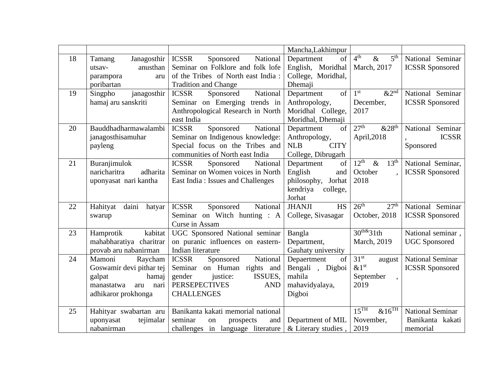|    |                             |                                       | Mancha, Lakhimpur          |                                                                |                         |
|----|-----------------------------|---------------------------------------|----------------------------|----------------------------------------------------------------|-------------------------|
| 18 | Janagosthir<br>Tamang       | <b>ICSSR</b><br>National<br>Sponsored | of<br>Department           | 4 <sup>th</sup><br>$\overline{\mathscr{X}}$<br>5 <sup>th</sup> | National Seminar        |
|    | anusthan<br>utsav-          | Seminar on Folklore and folk lofe     | English, Moridhal          | March, 2017                                                    | <b>ICSSR</b> Sponsored  |
|    | aru<br>parampora            | of the Tribes of North east India:    | College, Moridhal,         |                                                                |                         |
|    | poribartan                  | <b>Tradition and Change</b>           | Dhemaji                    |                                                                |                         |
| 19 | janagosthir<br>Singpho      | National<br><b>ICSSR</b><br>Sponsored | of<br>Department           | 1 <sup>st</sup><br>$&2^{\text{nd}}$                            | National Seminar        |
|    | hamaj aru sanskriti         | Seminar on Emerging trends in         | Anthropology,              | December,                                                      | <b>ICSSR</b> Sponsored  |
|    |                             | Anthropological Research in North     | Moridhal College,          | 2017                                                           |                         |
|    |                             | east India                            | Moridhal, Dhemaji          |                                                                |                         |
| 20 | Bauddhadharmawalambi        | Sponsored<br><b>ICSSR</b><br>National | of<br>Department           | 27 <sup>th</sup><br>&28 <sup>th</sup>                          | National Seminar        |
|    | janagosthisamuhar           | Seminar on Indigenous knowledge:      | Anthropology,              | April, 2018                                                    | <b>ICSSR</b>            |
|    | payleng                     | Special focus on the Tribes and       | <b>CITY</b><br><b>NLB</b>  |                                                                | Sponsored               |
|    |                             | communities of North east India       | College, Dibrugarh         |                                                                |                         |
| 21 | Buranjimulok                | <b>ICSSR</b><br>National<br>Sponsored | of<br>Department           | $12^{th}$<br>$\&$<br>13 <sup>th</sup>                          | National Seminar,       |
|    | naricharitra<br>adharita    | Seminar on Women voices in North      | English<br>and             | October                                                        | <b>ICSSR</b> Sponsored  |
|    | uponyasat nari kantha       | East India: Issues and Challenges     | philosophy, Jorhat         | 2018                                                           |                         |
|    |                             |                                       | kendriya<br>college,       |                                                                |                         |
|    |                             |                                       | Jorhat                     |                                                                |                         |
| 22 | daini<br>Hahityat<br>hatyar | <b>ICSSR</b><br>Sponsored<br>National | <b>JHANJI</b><br><b>HS</b> | 26 <sup>th</sup><br>27 <sup>th</sup>                           | National Seminar        |
|    | swarup                      | Seminar on Witch hunting : A          | College, Sivasagar         | October, 2018                                                  | <b>ICSSR</b> Sponsored  |
|    |                             | Curse in Assam                        |                            |                                                                |                         |
| 23 | kabitat<br>Hamprotik        | UGC Sponsored National seminar        | Bangla                     | $30^{th\&31}$ th                                               | National seminar,       |
|    | mahabharatiya charitrar     | on puranic influences on eastern-     | Department,                | March, 2019                                                    | <b>UGC</b> Sponsored    |
|    | provab aru nabanirman       | Indian literature                     | Gauhaty university         |                                                                |                         |
| 24 | Mamoni<br>Raycham           | <b>ICSSR</b><br>Sponsored<br>National | Depaertment<br>of          | 31 <sup>st</sup><br>august                                     | <b>National Seminar</b> |
|    | Goswamir devi pithar tej    | Seminar on Human rights and           | Bengali, Digboi            | $&1^\text{st}$                                                 | <b>ICSSR</b> Sponsored  |
|    | hamaj<br>galpat             | gender<br>justice:<br>ISSUES,         | mahila                     | September                                                      |                         |
|    | manastatwa<br>nari<br>aru   | <b>PERSEPECTIVES</b><br><b>AND</b>    | mahavidyalaya,             | 2019                                                           |                         |
|    | adhikaror prokhonga         | <b>CHALLENGES</b>                     | Digboi                     |                                                                |                         |
|    |                             |                                       |                            |                                                                |                         |
| 25 | Hahityar swabartan aru      | Banikanta kakati memorial national    |                            | 15 <sup>TH</sup><br>$&16^{\overline{\text{TH}}}$               | <b>National Seminar</b> |
|    | tejimalar<br>uponyasat      | seminar<br>and<br>on<br>prospects     | Department of MIL          | November,                                                      | Banikanta kakati        |
|    | nabanirman                  | challenges in language literature     | & Literary studies,        | 2019                                                           | memorial                |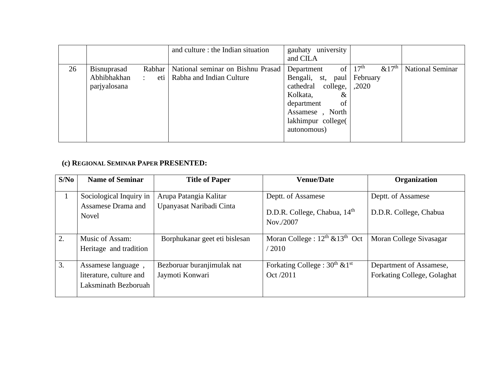|    |                                                                                     | and culture : the Indian situation                            | gauhaty university<br>and CILA                                                                                                                        |                                                             |                         |
|----|-------------------------------------------------------------------------------------|---------------------------------------------------------------|-------------------------------------------------------------------------------------------------------------------------------------------------------|-------------------------------------------------------------|-------------------------|
| 26 | Rabhar<br><b>Bisnuprasad</b><br>Abhibhakhan<br>$\mathcal{L}$<br>eti<br>parjyalosana | National seminar on Bishnu Prasad<br>Rabha and Indian Culture | Department<br>Bengali, st, paul<br>cathedral college,<br>Kolkata,<br>$\&$<br>of<br>department<br>Assamese, North<br>lakhimpur college(<br>autonomous) | of $\mid 17^{th}$<br>&17 <sup>th</sup><br>February<br>,2020 | <b>National Seminar</b> |

### **(c) REGIONAL SEMINAR PAPER PRESENTED:**

| S/No             | <b>Name of Seminar</b>                                                | <b>Title of Paper</b>                              | <b>Venue/Date</b>                                                           | <b>Organization</b>                                    |
|------------------|-----------------------------------------------------------------------|----------------------------------------------------|-----------------------------------------------------------------------------|--------------------------------------------------------|
| 1                | Sociological Inquiry in<br>Assamese Drama and<br><b>Novel</b>         | Arupa Patangia Kalitar<br>Upanyasat Naribadi Cinta | Deptt. of Assamese<br>D.D.R. College, Chabua, 14 <sup>th</sup><br>Nov./2007 | Deptt. of Assamese<br>D.D.R. College, Chabua           |
| $\overline{2}$ . | Music of Assam:<br>Heritage and tradition                             | Borphukanar geet eti bislesan                      | Moran College : $12^{th}$ & $13^{th}$ Oct<br>/2010                          | Moran College Sivasagar                                |
| 3.               | Assamese language,<br>literature, culture and<br>Laksminath Bezboruah | Bezboruar buranjimulak nat<br>Jaymoti Konwari      | Forkating College : $30^{th}$ & 1 <sup>st</sup><br>Oct /2011                | Department of Assamese,<br>Forkating College, Golaghat |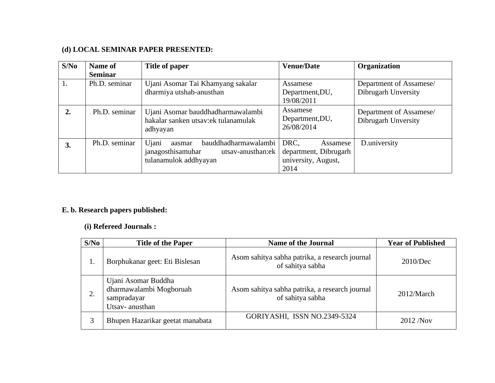### **(d) LOCAL SEMINAR PAPER PRESENTED:**

| S/No | Name of         | Title of paper                                                                                             | <b>Venue/Date</b>                                                        | Organization                                   |
|------|-----------------|------------------------------------------------------------------------------------------------------------|--------------------------------------------------------------------------|------------------------------------------------|
|      | <b>Seminar</b>  |                                                                                                            |                                                                          |                                                |
| 1.   | Ph.D. seminar   | Ujani Asomar Tai Khamyang sakalar                                                                          | Assamese                                                                 | Department of Assamese/                        |
|      |                 | dharmiya utshab-anusthan                                                                                   | Department, DU,                                                          | Dibrugarh Unversity                            |
|      |                 |                                                                                                            | 19/08/2011                                                               |                                                |
|      | . Ph.D. seminar | Ujani Asomar bauddhadharmawalambi<br>hakalar sanken utsav:ek tulanamulak<br>adhyayan                       | Assamese<br>Department, DU,<br>26/08/2014                                | Department of Assamese/<br>Dibrugarh Unversity |
| 3.   | Ph.D. seminar   | bauddhadharmawalambi<br>Ujani<br>aasmar<br>janagosthisamuhar<br>utsav-anusthan:ek<br>tulanamulok addhyayan | DRC,<br>Assamese<br>department, Dibrugarh<br>university, August,<br>2014 | D.university                                   |

### **E. b. Research papers published:**

### **(i) Refereed Journals :**

| S/No | <b>Title of the Paper</b>                                                       | <b>Name of the Journal</b>                                         | <b>Year of Published</b> |
|------|---------------------------------------------------------------------------------|--------------------------------------------------------------------|--------------------------|
| ī.   | Borphukanar geet: Eti Bislesan                                                  | Asom sahitya sabha patrika, a research journal<br>of sahitya sabha | 2010/Dec                 |
| 2.   | Ujani Asomar Buddha<br>dharmawalambi Mogboruah<br>sampradayar<br>Utsav-anusthan | Asom sahitya sabha patrika, a research journal<br>of sahitya sabha | 2012/March               |
|      | Bhupen Hazarikar geetat manabata                                                | GORIYASHI, ISSN NO.2349-5324                                       | 2012/Nov                 |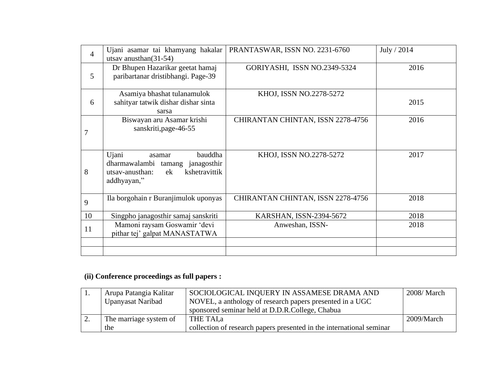| $\overline{4}$ | Ujani asamar tai khamyang hakalar      | PRANTASWAR, ISSN NO. 2231-6760    | July / 2014 |
|----------------|----------------------------------------|-----------------------------------|-------------|
|                | utsav anusthan $(31-54)$               |                                   |             |
|                | Dr Bhupen Hazarikar geetat hamaj       | GORIYASHI, ISSN NO.2349-5324      | 2016        |
| 5              | paribartanar dristibhangi. Page-39     |                                   |             |
|                |                                        |                                   |             |
|                | Asamiya bhashat tulanamulok            | KHOJ, ISSN NO.2278-5272           |             |
| 6              | sahityar tatwik dishar dishar sinta    |                                   | 2015        |
|                | sarsa                                  |                                   |             |
|                | Biswayan aru Asamar krishi             | CHIRANTAN CHINTAN, ISSN 2278-4756 | 2016        |
| 7              | sanskriti, page-46-55                  |                                   |             |
|                |                                        |                                   |             |
|                |                                        |                                   |             |
|                | bauddha<br>Ujani<br>asamar             | KHOJ, ISSN NO.2278-5272           | 2017        |
|                | dharmawalambi tamang janagosthir       |                                   |             |
| 8              | kshetravittik<br>ek<br>utsay-anusthan: |                                   |             |
|                | addhyayan,"                            |                                   |             |
|                |                                        |                                   |             |
| 9              | Ila borgohain r Buranjimulok uponyas   | CHIRANTAN CHINTAN, ISSN 2278-4756 | 2018        |
|                |                                        |                                   |             |
| 10             | Singpho janagosthir samaj sanskriti    | KARSHAN, ISSN-2394-5672           | 2018        |
| 11             | Mamoni raysam Goswamir 'devi           | Anweshan, ISSN-                   | 2018        |
|                | pithar tej' galpat MANASTATWA          |                                   |             |
|                |                                        |                                   |             |
|                |                                        |                                   |             |

## **(ii) Conference proceedings as full papers :**

| . .      | Arupa Patangia Kalitar | SOCIOLOGICAL INQUERY IN ASSAMESE DRAMA AND                           | 2008/ March |
|----------|------------------------|----------------------------------------------------------------------|-------------|
|          | Upanyasat Naribad      | NOVEL, a anthology of research papers presented in a UGC             |             |
|          |                        | sponsored seminar held at D.D.R.College, Chabua                      |             |
| <u>.</u> | The marriage system of | THE TAI.a                                                            | 2009/March  |
|          | the                    | collection of research papers presented in the international seminar |             |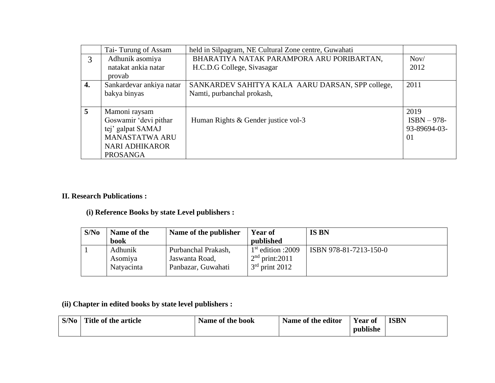|                  | Tai-Turung of Assam      | held in Silpagram, NE Cultural Zone centre, Guwahati |               |
|------------------|--------------------------|------------------------------------------------------|---------------|
| 3                | Adhunik asomiya          | BHARATIYA NATAK PARAMPORA ARU PORIBARTAN,            | Nov/          |
|                  | natakat ankia natar      | H.C.D.G College, Sivasagar                           | 2012          |
|                  | provab                   |                                                      |               |
| $\overline{4}$ . | Sankardevar ankiya natar | SANKARDEV SAHITYA KALA AARU DARSAN, SPP college,     | 2011          |
|                  | bakya binyas             | Namti, purbanchal prokash,                           |               |
|                  |                          |                                                      |               |
| $\overline{5}$   | Mamoni raysam            |                                                      | 2019          |
|                  | Goswamir 'devi pithar    | Human Rights & Gender justice vol-3                  | $ISBN - 978-$ |
|                  | tej' galpat SAMAJ        |                                                      | 93-89694-03-  |
|                  | <b>MANASTATWA ARU</b>    |                                                      | 01            |
|                  | <b>NARI ADHIKAROR</b>    |                                                      |               |
|                  | <b>PROSANGA</b>          |                                                      |               |

### **II. Research Publications :**

## **(i) Reference Books by state Level publishers :**

| S/No | Name of the | Name of the publisher | <b>Year of</b>      | <b>IS BN</b>           |
|------|-------------|-----------------------|---------------------|------------------------|
|      | book        |                       | published           |                        |
|      | Adhunik     | Purbanchal Prakash,   | $1st$ edition :2009 | ISBN 978-81-7213-150-0 |
|      | Asomiya     | Jaswanta Road,        | $2nd$ print: 2011   |                        |
|      | Natyacinta  | Panbazar, Guwahati    | $3rd$ print 2012    |                        |
|      |             |                       |                     |                        |

**(ii) Chapter in edited books by state level publishers :** 

| S/No | Title of the article | Name of the book | Name of the editor | Year of  | <b>ISBN</b> |
|------|----------------------|------------------|--------------------|----------|-------------|
|      |                      |                  |                    | publishe |             |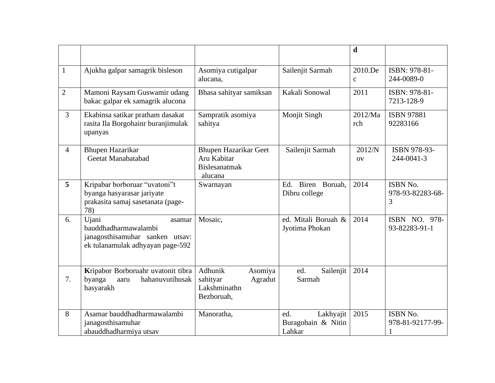|                |                                                                                                                |                                                                                |                                                  | $\mathbf d$             |                                   |
|----------------|----------------------------------------------------------------------------------------------------------------|--------------------------------------------------------------------------------|--------------------------------------------------|-------------------------|-----------------------------------|
| $\mathbf{1}$   | Ajukha galpar samagrik bisleson                                                                                | Asomiya cutigalpar<br>alucana,                                                 | Sailenjit Sarmah                                 | 2010.De<br>$\mathbf{C}$ | ISBN: 978-81-<br>244-0089-0       |
| $\overline{2}$ | Mamoni Raysam Guswamir udang<br>bakac galpar ek samagrik alucona                                               | Bhasa sahityar samiksan                                                        | Kakali Sonowal                                   | 2011                    | ISBN: 978-81-<br>7213-128-9       |
| $\overline{3}$ | Ekabinsa satikar pratham dasakat<br>rasita Ila Borgohainr buranjimulak<br>upanyas                              | Sampratik asomiya<br>sahitya                                                   | Monjit Singh                                     | 2012/Ma<br>rch          | <b>ISBN 97881</b><br>92283166     |
| $\overline{4}$ | <b>Bhupen Hazarikar</b><br>Geetat Manabatabad                                                                  | <b>Bhupen Hazarikar Geet</b><br>Aru Kabitar<br><b>Bislesanatmak</b><br>alucana | Sailenjit Sarmah                                 | 2012/N<br><b>OV</b>     | ISBN 978-93-<br>244-0041-3        |
| 5              | Kripabar borboruar "uvatoni"t<br>byanga hasyarasar jariyate<br>prakasita samaj sasetanata (page-<br>78)        | Swarnayan                                                                      | Biren Boruah.<br>Ed.<br>Dibru college            | 2014                    | ISBN No.<br>978-93-82283-68-<br>3 |
| 6.             | Ujani<br>asamar<br>bauddhadharmawalambi<br>janagosthisamuhar sanken utsav:<br>ek tulanamulak adhyayan page-592 | Mosaic,                                                                        | ed. Mitali Boruah &<br>Jyotima Phokan            | 2014                    | ISBN NO. 978-<br>93-82283-91-1    |
| 7.             | Kripabor Borboruahr uvatonit tibra<br>byanga<br>hahanuvutihusak<br>aaru<br>hasyarakh                           | Adhunik<br>Asomiya<br>sahityar<br>Agradut<br>Lakshminathn<br>Bezboruah,        | ed.<br>Sailenjit<br>Sarmah                       | 2014                    |                                   |
| 8              | Asamar bauddhadharmawalambi<br>janagosthisamuhar<br>abauddhadharmiya utsav                                     | Manoratha,                                                                     | Lakhyajit<br>ed.<br>Buragohain & Nitin<br>Lahkar | 2015                    | ISBN No.<br>978-81-92177-99-      |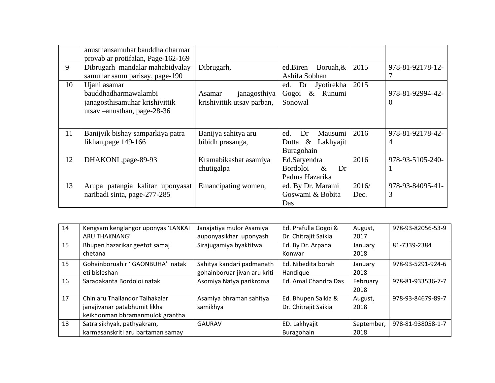|    | anusthansamuhat bauddha dharmar<br>provab ar protifalan, Page-162-169                                  |                                                      |                                                                 |               |                              |
|----|--------------------------------------------------------------------------------------------------------|------------------------------------------------------|-----------------------------------------------------------------|---------------|------------------------------|
| 9  | Dibrugarh mandalar mahabidyalay<br>samuhar samu parisay, page-190                                      | Dibrugarh,                                           | ed.Biren<br>Boruah, &<br>Ashifa Sobhan                          | 2015          | 978-81-92178-12-             |
| 10 | Ujani asamar<br>bauddhadharmawalambi<br>janagosthisamuhar krishivittik<br>utsav – anusthan, page-28-36 | janagosthiya<br>Asamar<br>krishivittik utsav parban, | Jyotirekha<br>ed.<br>Dr<br>$\&$<br>Runumi<br>Gogoi<br>Sonowal   | 2015          | 978-81-92994-42-<br>$\theta$ |
| 11 | Banijyik bishay samparkiya patra<br>likhan, page 149-166                                               | Banijya sahitya aru<br>bibidh prasanga,              | Mausumi<br>Dr<br>ed.<br>Dutta $\&$<br>Lakhyajit<br>Buragohain   | 2016          | 978-81-92178-42-<br>4        |
| 12 | DHAKONI ,page-89-93                                                                                    | Kramabikashat asamiya<br>chutigalpa                  | Ed.Satyendra<br><b>Bordoloi</b><br>$\&$<br>Dr<br>Padma Hazarika | 2016          | 978-93-5105-240-             |
| 13 | Arupa patangia kalitar uponyasat<br>naribadi sinta, page-277-285                                       | Emancipating women,                                  | ed. By Dr. Marami<br>Goswami & Bobita<br>Das                    | 2016/<br>Dec. | 978-93-84095-41-<br>3        |

| 14 | Kengsam kenglangor uponyas 'LANKAI | Janajatiya mulor Asamiya     | Ed. Prafulla Gogoi & | August,    | 978-93-82056-53-9 |
|----|------------------------------------|------------------------------|----------------------|------------|-------------------|
|    | ARU THAKNANG'                      | auponyasikhar uponyash       | Dr. Chitrajit Saikia | 2017       |                   |
| 15 | Bhupen hazarikar geetot samaj      | Sirajugamiya byaktitwa       | Ed. By Dr. Arpana    | January    | 81-7339-2384      |
|    | chetana                            |                              | Konwar               | 2018       |                   |
| 15 | Gohainboruah r ' GAONBUHA' natak   | Sahitya kandari padmanath    | Ed. Nibedita borah   | January    | 978-93-5291-924-6 |
|    | eti bisleshan                      | gohainboruar jivan aru kriti | Handique             | 2018       |                   |
| 16 | Saradakanta Bordoloi natak         | Asomiya Natya parikroma      | Ed. Amal Chandra Das | February   | 978-81-933536-7-7 |
|    |                                    |                              |                      | 2018       |                   |
| 17 | Chin aru Thailandor Taihakalar     | Asamiya bhraman sahitya      | Ed. Bhupen Saikia &  | August,    | 978-93-84679-89-7 |
|    | janajivanar patabhumit likha       | samikhya                     | Dr. Chitrajit Saikia | 2018       |                   |
|    | keikhonman bhramanmulok grantha    |                              |                      |            |                   |
| 18 | Satra sikhyak, pathyakram,         | <b>GAURAV</b>                | ED. Lakhyajit        | September, | 978-81-938058-1-7 |
|    | karmasanskriti aru bartaman samay  |                              | Buragohain           | 2018       |                   |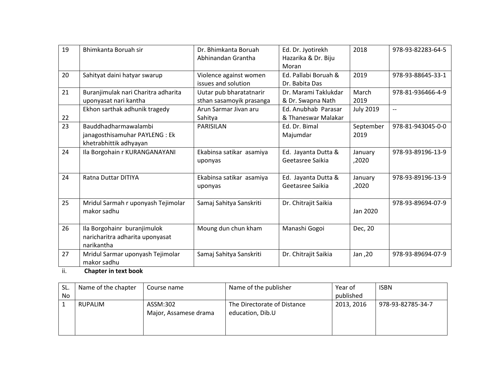| Abhinandan Grantha<br>Hazarika & Dr. Biju<br>Moran<br>20<br>Ed. Pallabi Boruah &<br>2019<br>978-93-88645-33-1<br>Sahityat daini hatyar swarup<br>Violence against women<br>issues and solution<br>Dr. Babita Das<br>21<br>Buranjimulak nari Charitra adharita<br>Dr. Marami Taklukdar<br>March<br>Uutar pub bharatatnarir<br>978-81-936466-4-9<br>uponyasat nari kantha<br>sthan sasamoyik prasanga<br>& Dr. Swapna Nath<br>2019<br>Ekhon sarthak adhunik tragedy<br>Ed. Anubhab Parasar<br><b>July 2019</b><br>Arun Sarmar Jivan aru<br>$\overline{\phantom{a}}$<br>22<br>& Thaneswar Malakar<br>Sahitya<br>23<br>Bauddhadharmawalambi<br>September<br>978-81-943045-0-0<br>PARISILAN<br>Ed. Dr. Bimal<br>janagosthisamuhar PAYLENG: Ek<br>Majumdar<br>2019<br>khetrabhittik adhyayan<br>24<br>Ila Borgohain r KURANGANAYANI<br>Ekabinsa satikar asamiya<br>Ed. Jayanta Dutta &<br>978-93-89196-13-9<br>January<br>Geetasree Saikia<br>,2020<br>uponyas<br>24<br>Ratna Duttar DITIYA<br>Ekabinsa satikar asamiya<br>Ed. Jayanta Dutta &<br>978-93-89196-13-9<br>January<br>Geetasree Saikia<br>,2020<br>uponyas<br>25<br>Mridul Sarmah r uponyash Tejimolar<br>Samaj Sahitya Sanskriti<br>Dr. Chitrajit Saikia<br>978-93-89694-07-9<br>makor sadhu<br>Jan 2020<br>Moung dun chun kham<br>26<br>Ila Borgohainr buranjimulok<br>Manashi Gogoi<br>Dec, 20 | 19 | Bhimkanta Boruah sir            | Dr. Bhimkanta Boruah | Ed. Dr. Jyotirekh | 2018 | 978-93-82283-64-5 |
|---------------------------------------------------------------------------------------------------------------------------------------------------------------------------------------------------------------------------------------------------------------------------------------------------------------------------------------------------------------------------------------------------------------------------------------------------------------------------------------------------------------------------------------------------------------------------------------------------------------------------------------------------------------------------------------------------------------------------------------------------------------------------------------------------------------------------------------------------------------------------------------------------------------------------------------------------------------------------------------------------------------------------------------------------------------------------------------------------------------------------------------------------------------------------------------------------------------------------------------------------------------------------------------------------------------------------------------------------------|----|---------------------------------|----------------------|-------------------|------|-------------------|
|                                                                                                                                                                                                                                                                                                                                                                                                                                                                                                                                                                                                                                                                                                                                                                                                                                                                                                                                                                                                                                                                                                                                                                                                                                                                                                                                                         |    |                                 |                      |                   |      |                   |
|                                                                                                                                                                                                                                                                                                                                                                                                                                                                                                                                                                                                                                                                                                                                                                                                                                                                                                                                                                                                                                                                                                                                                                                                                                                                                                                                                         |    |                                 |                      |                   |      |                   |
|                                                                                                                                                                                                                                                                                                                                                                                                                                                                                                                                                                                                                                                                                                                                                                                                                                                                                                                                                                                                                                                                                                                                                                                                                                                                                                                                                         |    |                                 |                      |                   |      |                   |
|                                                                                                                                                                                                                                                                                                                                                                                                                                                                                                                                                                                                                                                                                                                                                                                                                                                                                                                                                                                                                                                                                                                                                                                                                                                                                                                                                         |    |                                 |                      |                   |      |                   |
|                                                                                                                                                                                                                                                                                                                                                                                                                                                                                                                                                                                                                                                                                                                                                                                                                                                                                                                                                                                                                                                                                                                                                                                                                                                                                                                                                         |    |                                 |                      |                   |      |                   |
|                                                                                                                                                                                                                                                                                                                                                                                                                                                                                                                                                                                                                                                                                                                                                                                                                                                                                                                                                                                                                                                                                                                                                                                                                                                                                                                                                         |    |                                 |                      |                   |      |                   |
|                                                                                                                                                                                                                                                                                                                                                                                                                                                                                                                                                                                                                                                                                                                                                                                                                                                                                                                                                                                                                                                                                                                                                                                                                                                                                                                                                         |    |                                 |                      |                   |      |                   |
|                                                                                                                                                                                                                                                                                                                                                                                                                                                                                                                                                                                                                                                                                                                                                                                                                                                                                                                                                                                                                                                                                                                                                                                                                                                                                                                                                         |    |                                 |                      |                   |      |                   |
|                                                                                                                                                                                                                                                                                                                                                                                                                                                                                                                                                                                                                                                                                                                                                                                                                                                                                                                                                                                                                                                                                                                                                                                                                                                                                                                                                         |    |                                 |                      |                   |      |                   |
|                                                                                                                                                                                                                                                                                                                                                                                                                                                                                                                                                                                                                                                                                                                                                                                                                                                                                                                                                                                                                                                                                                                                                                                                                                                                                                                                                         |    |                                 |                      |                   |      |                   |
|                                                                                                                                                                                                                                                                                                                                                                                                                                                                                                                                                                                                                                                                                                                                                                                                                                                                                                                                                                                                                                                                                                                                                                                                                                                                                                                                                         |    |                                 |                      |                   |      |                   |
|                                                                                                                                                                                                                                                                                                                                                                                                                                                                                                                                                                                                                                                                                                                                                                                                                                                                                                                                                                                                                                                                                                                                                                                                                                                                                                                                                         |    |                                 |                      |                   |      |                   |
|                                                                                                                                                                                                                                                                                                                                                                                                                                                                                                                                                                                                                                                                                                                                                                                                                                                                                                                                                                                                                                                                                                                                                                                                                                                                                                                                                         |    |                                 |                      |                   |      |                   |
|                                                                                                                                                                                                                                                                                                                                                                                                                                                                                                                                                                                                                                                                                                                                                                                                                                                                                                                                                                                                                                                                                                                                                                                                                                                                                                                                                         |    |                                 |                      |                   |      |                   |
|                                                                                                                                                                                                                                                                                                                                                                                                                                                                                                                                                                                                                                                                                                                                                                                                                                                                                                                                                                                                                                                                                                                                                                                                                                                                                                                                                         |    |                                 |                      |                   |      |                   |
|                                                                                                                                                                                                                                                                                                                                                                                                                                                                                                                                                                                                                                                                                                                                                                                                                                                                                                                                                                                                                                                                                                                                                                                                                                                                                                                                                         |    |                                 |                      |                   |      |                   |
|                                                                                                                                                                                                                                                                                                                                                                                                                                                                                                                                                                                                                                                                                                                                                                                                                                                                                                                                                                                                                                                                                                                                                                                                                                                                                                                                                         |    |                                 |                      |                   |      |                   |
|                                                                                                                                                                                                                                                                                                                                                                                                                                                                                                                                                                                                                                                                                                                                                                                                                                                                                                                                                                                                                                                                                                                                                                                                                                                                                                                                                         |    |                                 |                      |                   |      |                   |
|                                                                                                                                                                                                                                                                                                                                                                                                                                                                                                                                                                                                                                                                                                                                                                                                                                                                                                                                                                                                                                                                                                                                                                                                                                                                                                                                                         |    |                                 |                      |                   |      |                   |
|                                                                                                                                                                                                                                                                                                                                                                                                                                                                                                                                                                                                                                                                                                                                                                                                                                                                                                                                                                                                                                                                                                                                                                                                                                                                                                                                                         |    |                                 |                      |                   |      |                   |
|                                                                                                                                                                                                                                                                                                                                                                                                                                                                                                                                                                                                                                                                                                                                                                                                                                                                                                                                                                                                                                                                                                                                                                                                                                                                                                                                                         |    |                                 |                      |                   |      |                   |
|                                                                                                                                                                                                                                                                                                                                                                                                                                                                                                                                                                                                                                                                                                                                                                                                                                                                                                                                                                                                                                                                                                                                                                                                                                                                                                                                                         |    | naricharitra adharita uponyasat |                      |                   |      |                   |
| narikantha                                                                                                                                                                                                                                                                                                                                                                                                                                                                                                                                                                                                                                                                                                                                                                                                                                                                                                                                                                                                                                                                                                                                                                                                                                                                                                                                              |    |                                 |                      |                   |      |                   |
| 27<br>Mridul Sarmar uponyash Tejimolar<br>Samaj Sahitya Sanskriti<br>Dr. Chitrajit Saikia<br>978-93-89694-07-9<br>Jan, 20                                                                                                                                                                                                                                                                                                                                                                                                                                                                                                                                                                                                                                                                                                                                                                                                                                                                                                                                                                                                                                                                                                                                                                                                                               |    |                                 |                      |                   |      |                   |
| makor sadhu                                                                                                                                                                                                                                                                                                                                                                                                                                                                                                                                                                                                                                                                                                                                                                                                                                                                                                                                                                                                                                                                                                                                                                                                                                                                                                                                             |    |                                 |                      |                   |      |                   |

ii. **Chapter in text book**

| SL. | Name of the chapter | Course name                       | Name of the publisher                           | Year of    | <b>ISBN</b>       |
|-----|---------------------|-----------------------------------|-------------------------------------------------|------------|-------------------|
| No  |                     |                                   |                                                 | published  |                   |
|     | <b>RUPALIM</b>      | ASSM:302<br>Major, Assamese drama | The Directorate of Distance<br>education, Dib.U | 2013, 2016 | 978-93-82785-34-7 |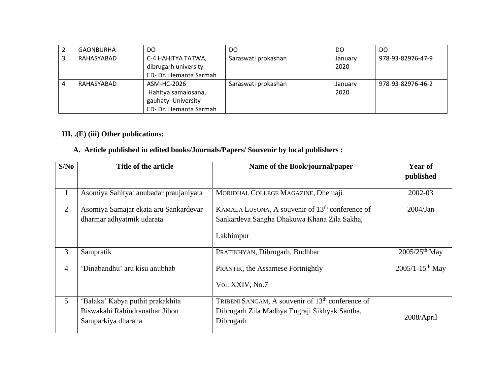| GAONBURHA  | DO.                                                                                | DO.                 | DO.             | DO                |
|------------|------------------------------------------------------------------------------------|---------------------|-----------------|-------------------|
| RAHASYABAD | C-4 HAHITYA TATWA,<br>dibrugarh university<br>ED- Dr. Hemanta Sarmah               | Saraswati prokashan | January<br>2020 | 978-93-82976-47-9 |
| RAHASYABAD | ASM-HC-2026<br>Hahitya samalosana,<br>gauhaty University<br>ED- Dr. Hemanta Sarmah | Saraswati prokashan | January<br>2020 | 978-93-82976-46-2 |

### **III. .(E) (iii) Other publications:**

## **A. Article published in edited books/Journals/Papers/ Souvenir by local publishers :**

| S/No           | Title of the article                                                                     | Name of the Book/journal/paper                                                                                             | <b>Year of</b><br>published     |
|----------------|------------------------------------------------------------------------------------------|----------------------------------------------------------------------------------------------------------------------------|---------------------------------|
| $\mathbf{1}$   | Asomiya Sahityat anubadar praujaniyata                                                   | MORIDHAL COLLEGE MAGAZINE, Dhemaji                                                                                         | 2002-03                         |
| $\overline{2}$ | Asomiya Samajar ekata aru Sankardevar<br>dharmar adhyatmik udarata                       | KAMALA LUSONA, A souvenir of 13 <sup>th</sup> conference of<br>Sankardeva Sangha Dhakuwa Khana Zila Sakha,<br>Lakhimpur    | $2004$ /Jan                     |
| 3              | Sampratik                                                                                | PRATIKHYAN, Dibrugarh, Budhbar                                                                                             | $2005/25$ <sup>th</sup> May     |
| 4              | 'Dinabandhu' aru kisu anubhab                                                            | <b>PRANTIK, the Assamese Fortnightly</b><br>Vol. XXIV, No.7                                                                | $2005/1 - 15$ <sup>th</sup> May |
| 5              | 'Balaka' Kabya puthit prakakhita<br>Biswakabi Rabindranathar Jibon<br>Samparkiya dharana | TRIBENI SANGAM, A souvenir of 13 <sup>th</sup> conference of<br>Dibrugarh Zila Madhya Engraji Sikhyak Santha,<br>Dibrugarh | 2008/April                      |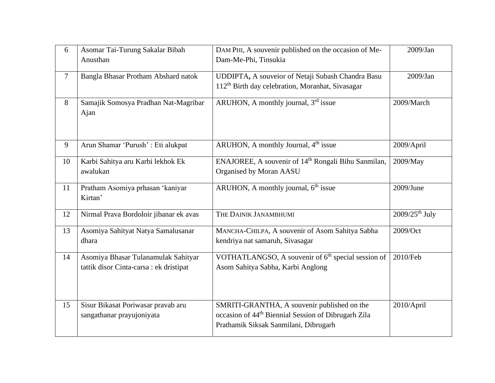| 6              | Asomar Tai-Turung Sakalar Bibah<br>Anusthan                                    | DAM PHI, A souvenir published on the occasion of Me-<br>Dam-Me-Phi, Tinsukia                                                                            | $2009$ /Jan                  |
|----------------|--------------------------------------------------------------------------------|---------------------------------------------------------------------------------------------------------------------------------------------------------|------------------------------|
| $\overline{7}$ | Bangla Bhasar Protham Abshard natok                                            | UDDIPTA, A souveior of Netaji Subash Chandra Basu<br>112 <sup>th</sup> Birth day celebration, Moranhat, Sivasagar                                       | $2009$ /Jan                  |
| 8              | Samajik Somosya Pradhan Nat-Magribar<br>Ajan                                   | ARUHON, A monthly journal, 3rd issue                                                                                                                    | 2009/March                   |
| 9              | Arun Shamar 'Purush' : Eti alukpat                                             | ARUHON, A monthly Journal, 4 <sup>th</sup> issue                                                                                                        | 2009/April                   |
| 10             | Karbi Sahitya aru Karbi lekhok Ek<br>awalukan                                  | ENAJOREE, A souvenir of 14 <sup>th</sup> Rongali Bihu Sanmilan,<br>Organised by Moran AASU                                                              | 2009/May                     |
| 11             | Pratham Asomiya prhasan 'kaniyar<br>Kirtan'                                    | ARUHON, A monthly journal, 6 <sup>th</sup> issue                                                                                                        | $2009$ /June                 |
| 12             | Nirmal Prava Bordoloir jibanar ek avas                                         | THE DAINIK JANAMBHUMI                                                                                                                                   | $2009/25$ <sup>th</sup> July |
| 13             | Asomiya Sahityat Natya Samalusanar<br>dhara                                    | MANCHA-CHILPA, A souvenir of Asom Sahitya Sabha<br>kendriya nat samaruh, Sivasagar                                                                      | 2009/Oct                     |
| 14             | Asomiya Bhasar Tulanamulak Sahityar<br>tattik disor Cinta-carsa : ek dristipat | VOTHATLANGSO, A souvenir of 6 <sup>th</sup> special session of<br>Asom Sahitya Sabha, Karbi Anglong                                                     | 2010/Feb                     |
| 15             | Sisur Bikasat Poriwasar pravab aru<br>sangathanar prayujoniyata                | SMRITI-GRANTHA, A souvenir published on the<br>occasion of 44 <sup>th</sup> Biennial Session of Dibrugarh Zila<br>Prathamik Siksak Sanmilani, Dibrugarh | 2010/April                   |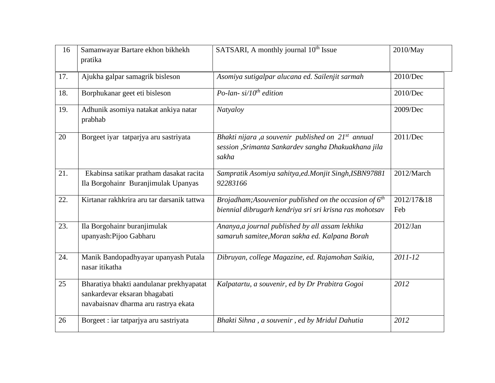| 16  | Samanwayar Bartare ekhon bikhekh<br>pratika                                                                       | SATSARI, A monthly journal 10 <sup>th</sup> Issue                                                                               | 2010/May          |
|-----|-------------------------------------------------------------------------------------------------------------------|---------------------------------------------------------------------------------------------------------------------------------|-------------------|
| 17. | Ajukha galpar samagrik bisleson                                                                                   | Asomiya sutigalpar alucana ed. Sailenjit sarmah                                                                                 | 2010/Dec          |
| 18. | Borphukanar geet eti bisleson                                                                                     | Po-lan- $si/10^{th}$ edition                                                                                                    | 2010/Dec          |
| 19. | Adhunik asomiya natakat ankiya natar<br>prabhab                                                                   | Natyaloy                                                                                                                        | 2009/Dec          |
| 20  | Borgeet iyar tatpariya aru sastriyata                                                                             | Bhakti nijara ,a souvenir published on 21 <sup>st</sup> annual<br>session , Srimanta Sankardev sangha Dhakuakhana jila<br>sakha | 2011/Dec          |
| 21. | Ekabinsa satikar pratham dasakat racita<br>Ila Borgohainr Buranjimulak Upanyas                                    | Sampratik Asomiya sahitya, ed. Monjit Singh, ISBN 97881<br>92283166                                                             | 2012/March        |
| 22. | Kirtanar rakhkrira aru tar darsanik tattwa                                                                        | Brojadham; Asouvenior published on the occasion of $6th$<br>biennial dibrugarh kendriya sri sri krisna ras mohotsav             | 2012/17&18<br>Feb |
| 23. | Ila Borgohainr buranjimulak<br>upanyash: Pijoo Gabharu                                                            | Ananya, a journal published by all assam lekhika<br>samaruh samitee, Moran sakha ed. Kalpana Borah                              | $2012$ /Jan       |
| 24. | Manik Bandopadhyayar upanyash Putala<br>nasar itikatha                                                            | Dibruyan, college Magazine, ed. Rajamohan Saikia,                                                                               | 2011-12           |
| 25  | Bharatiya bhakti aandulanar prekhyapatat<br>sankardevar eksaran bhagabati<br>navabaisnav dharma aru rastrya ekata | Kalpatartu, a souvenir, ed by Dr Prabitra Gogoi                                                                                 | 2012              |
| 26  | Borgeet : iar tatparjya aru sastriyata                                                                            | Bhakti Sihna, a souvenir, ed by Mridul Dahutia                                                                                  | 2012              |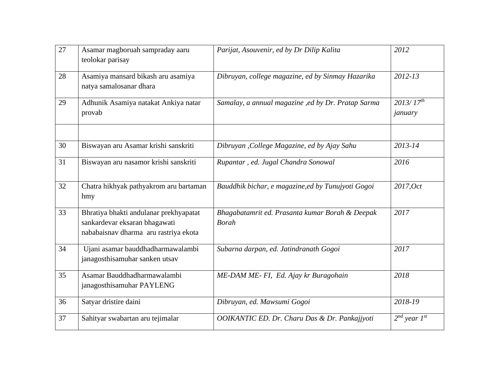| 27 | Asamar magboruah sampraday aaru<br>teolokar parisay                                                              | Parijat, Asouvenir, ed by Dr Dilip Kalita                       | 2012                                 |
|----|------------------------------------------------------------------------------------------------------------------|-----------------------------------------------------------------|--------------------------------------|
| 28 | Asamiya mansard bikash aru asamiya<br>natya samalosanar dhara                                                    | Dibruyan, college magazine, ed by Sinmay Hazarika               | 2012-13                              |
| 29 | Adhunik Asamiya natakat Ankiya natar<br>provab                                                                   | Samalay, a annual magazine , ed by Dr. Pratap Sarma             | $2013/\overline{17^{th}}$<br>january |
| 30 | Biswayan aru Asamar krishi sanskriti                                                                             | Dibruyan, College Magazine, ed by Ajay Sahu                     | $2013 - 14$                          |
| 31 | Biswayan aru nasamor krishi sanskriti                                                                            | Rupantar, ed. Jugal Chandra Sonowal                             | 2016                                 |
| 32 | Chatra hikhyak pathyakrom aru bartaman<br>hmy                                                                    | Bauddhik bichar, e magazine, ed by Tunujyoti Gogoi              | 2017, Oct                            |
| 33 | Bhratiya bhakti andulanar prekhyapatat<br>sankardevar eksaran bhagawati<br>nababaisnav dharma aru rastriya ekota | Bhagabatamrit ed. Prasanta kumar Borah & Deepak<br><b>Borah</b> | 2017                                 |
| 34 | Ujani asamar bauddhadharmawalambi<br>janagosthisamuhar sanken utsav                                              | Subarna darpan, ed. Jatindranath Gogoi                          | 2017                                 |
| 35 | Asamar Bauddhadharmawalambi<br>janagosthisamuhar PAYLENG                                                         | ME-DAM ME- FI, Ed. Ajay kr Buragohain                           | 2018                                 |
| 36 | Satyar dristire daini                                                                                            | Dibruyan, ed. Mawsumi Gogoi                                     | 2018-19                              |
| 37 | Sahityar swabartan aru tejimalar                                                                                 | OOIKANTIC ED. Dr. Charu Das & Dr. Pankajjyoti                   | $2^{nd}$ year $1^{st}$               |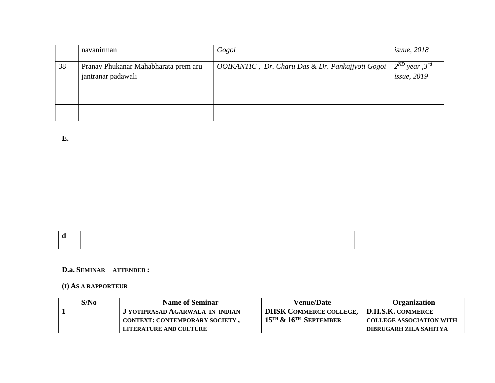|    | navanırman                                                 | Gogoi                                            | <i>isuue</i> , 2018                             |
|----|------------------------------------------------------------|--------------------------------------------------|-------------------------------------------------|
| 38 | Pranay Phukanar Mahabharata prem aru<br>jantranar padawali | OOIKANTIC, Dr. Charu Das & Dr. Pankajjyoti Gogoi | $2^{ND}$ year , $3^{rd}$<br><i>issue</i> , 2019 |
|    |                                                            |                                                  |                                                 |
|    |                                                            |                                                  |                                                 |

**E.** 

|  | the contract of the contract of the contract of the contract of the contract of the contract of the contract of |  |  |
|--|-----------------------------------------------------------------------------------------------------------------|--|--|
|  |                                                                                                                 |  |  |

#### **D.a. SEMINAR ATTENDED :**

#### **(I) AS A RAPPORTEUR**

| S/No | <b>Name of Seminar</b>          | <b>Venue/Date</b>                                 | <b>Organization</b>             |
|------|---------------------------------|---------------------------------------------------|---------------------------------|
|      | J YOTIPRASAD AGARWALA IN INDIAN | <b>DHSK COMMERCE COLLEGE,</b>                     | D.H.S.K. COMMERCE               |
|      | CONTEXT: CONTEMPORARY SOCIETY,  | $15$ <sup>th</sup> & $16$ <sup>th</sup> September | <b>COLLEGE ASSOCIATION WITH</b> |
|      | LITERATURE AND CULTURE          |                                                   | DIBRUGARH ZILA SAHITYA          |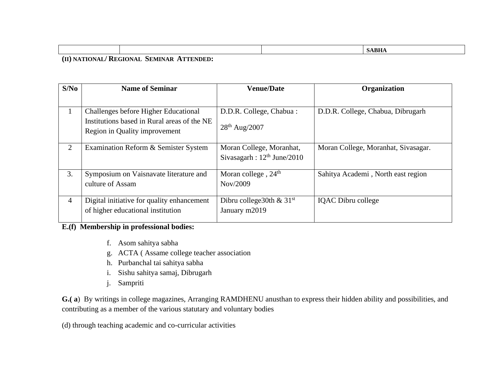|  | <b>INTT</b> |
|--|-------------|
|  |             |

**(II) NATIONAL/ REGIONAL SEMINAR ATTENDED:**

| S/No | <b>Name of Seminar</b>                      | <b>Venue/Date</b>               | Organization                        |
|------|---------------------------------------------|---------------------------------|-------------------------------------|
|      |                                             |                                 |                                     |
|      | Challenges before Higher Educational        | D.D.R. College, Chabua:         | D.D.R. College, Chabua, Dibrugarh   |
|      | Institutions based in Rural areas of the NE | $28^{th}$ Aug/2007              |                                     |
|      | Region in Quality improvement               |                                 |                                     |
| 2    | Examination Reform & Semister System        | Moran College, Moranhat,        | Moran College, Moranhat, Sivasagar. |
|      |                                             | Sivasagarh: $12th$ June/2010    |                                     |
| 3.   | Symposium on Vaisnavate literature and      | Moran college, 24 <sup>th</sup> | Sahitya Academi, North east region  |
|      | culture of Assam                            | Nov/2009                        |                                     |
| 4    | Digital initiative for quality enhancement  | Dibru college30th $& 31st$      | <b>IQAC</b> Dibru college           |
|      | of higher educational institution           | January m2019                   |                                     |

#### **E.(f) Membership in professional bodies:**

- f. Asom sahitya sabha
- g. ACTA ( Assame college teacher association
- h. Purbanchal tai sahitya sabha
- i. Sishu sahitya samaj, Dibrugarh
- j. Sampriti

**G.( a**) By writings in college magazines, Arranging RAMDHENU anusthan to express their hidden ability and possibilities, and contributing as a member of the various statutary and voluntary bodies

(d) through teaching academic and co-curricular activities